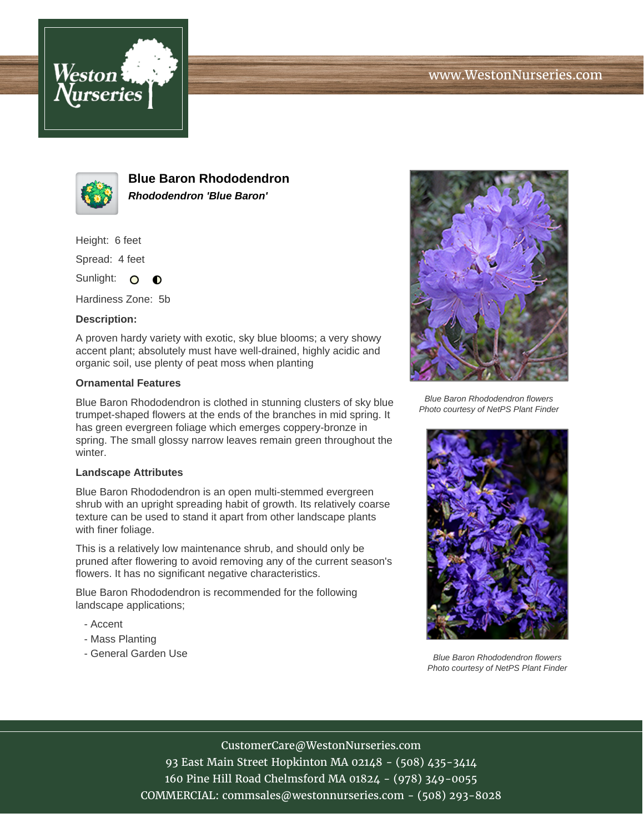



**Blue Baron Rhododendron Rhododendron 'Blue Baron'**

Height: 6 feet

Spread: 4 feet

Sunlight: O  $\bullet$ 

Hardiness Zone: 5b

## **Description:**

A proven hardy variety with exotic, sky blue blooms; a very showy accent plant; absolutely must have well-drained, highly acidic and organic soil, use plenty of peat moss when planting

## **Ornamental Features**

Blue Baron Rhododendron is clothed in stunning clusters of sky blue trumpet-shaped flowers at the ends of the branches in mid spring. It has green evergreen foliage which emerges coppery-bronze in spring. The small glossy narrow leaves remain green throughout the winter.

## **Landscape Attributes**

Blue Baron Rhododendron is an open multi-stemmed evergreen shrub with an upright spreading habit of growth. Its relatively coarse texture can be used to stand it apart from other landscape plants with finer foliage.

This is a relatively low maintenance shrub, and should only be pruned after flowering to avoid removing any of the current season's flowers. It has no significant negative characteristics.

Blue Baron Rhododendron is recommended for the following landscape applications;

- Accent
- Mass Planting
- General Garden Use



Blue Baron Rhododendron flowers Photo courtesy of NetPS Plant Finder



Blue Baron Rhododendron flowers Photo courtesy of NetPS Plant Finder

## CustomerCare@WestonNurseries.com

93 East Main Street Hopkinton MA 02148 - (508) 435-3414 160 Pine Hill Road Chelmsford MA 01824 - (978) 349-0055 COMMERCIAL: commsales@westonnurseries.com - (508) 293-8028